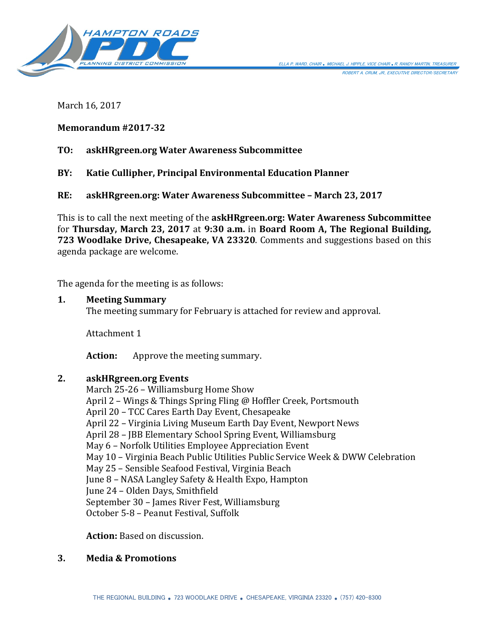

March 16, 2017

## **Memorandum #2017-32**

# **TO: askHRgreen.org Water Awareness Subcommittee**

**BY: Katie Cullipher, Principal Environmental Education Planner**

**RE: askHRgreen.org: Water Awareness Subcommittee – March 23, 2017**

This is to call the next meeting of the **askHRgreen.org: Water Awareness Subcommittee** for **Thursday, March 23, 2017** at **9:30 a.m.** in **Board Room A, The Regional Building, 723 Woodlake Drive, Chesapeake, VA 23320**. Comments and suggestions based on this agenda package are welcome.

The agenda for the meeting is as follows:

#### **1. Meeting Summary**

The meeting summary for February is attached for review and approval.

Attachment 1

**Action:** Approve the meeting summary.

## **2. askHRgreen.org Events**

March 25-26 – Williamsburg Home Show April 2 – Wings & Things Spring Fling @ Hoffler Creek, Portsmouth April 20 – TCC Cares Earth Day Event, Chesapeake April 22 – Virginia Living Museum Earth Day Event, Newport News April 28 – JBB Elementary School Spring Event, Williamsburg May 6 – Norfolk Utilities Employee Appreciation Event May 10 – Virginia Beach Public Utilities Public Service Week & DWW Celebration May 25 – Sensible Seafood Festival, Virginia Beach June 8 – NASA Langley Safety & Health Expo, Hampton June 24 – Olden Days, Smithfield September 30 – James River Fest, Williamsburg October 5-8 – Peanut Festival, Suffolk

**Action:** Based on discussion.

## **3. Media & Promotions**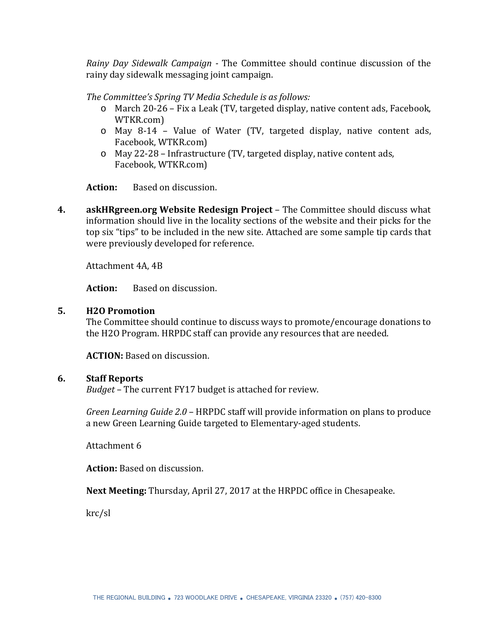*Rainy Day Sidewalk Campaign -* The Committee should continue discussion of the rainy day sidewalk messaging joint campaign.

*The Committee's Spring TV Media Schedule is as follows:*

- o March 20-26 Fix a Leak (TV, targeted display, native content ads, Facebook, WTKR.com)
- o May 8-14 Value of Water (TV, targeted display, native content ads, Facebook, WTKR.com)
- o May 22-28 Infrastructure (TV, targeted display, native content ads, Facebook, WTKR.com)

**Action:** Based on discussion.

**4. askHRgreen.org Website Redesign Project** – The Committee should discuss what information should live in the locality sections of the website and their picks for the top six "tips" to be included in the new site. Attached are some sample tip cards that were previously developed for reference.

Attachment 4A, 4B

**Action:** Based on discussion.

## **5. H2O Promotion**

The Committee should continue to discuss ways to promote/encourage donations to the H2O Program. HRPDC staff can provide any resources that are needed.

**ACTION:** Based on discussion.

## **6. Staff Reports**

*Budget* – The current FY17 budget is attached for review.

*Green Learning Guide 2.0* – HRPDC staff will provide information on plans to produce a new Green Learning Guide targeted to Elementary-aged students.

Attachment 6

**Action:** Based on discussion.

**Next Meeting:** Thursday, April 27, 2017 at the HRPDC office in Chesapeake.

krc/sl